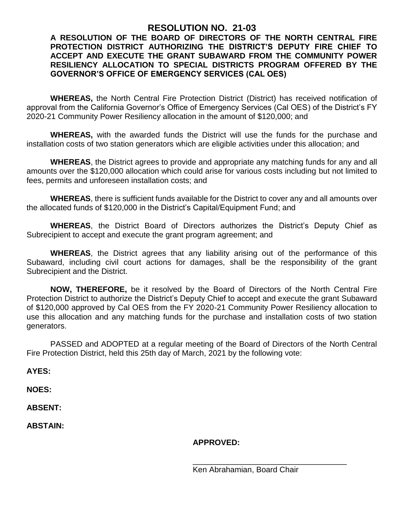## **RESOLUTION NO. 21-03**

## **A RESOLUTION OF THE BOARD OF DIRECTORS OF THE NORTH CENTRAL FIRE PROTECTION DISTRICT AUTHORIZING THE DISTRICT'S DEPUTY FIRE CHIEF TO ACCEPT AND EXECUTE THE GRANT SUBAWARD FROM THE COMMUNITY POWER RESILIENCY ALLOCATION TO SPECIAL DISTRICTS PROGRAM OFFERED BY THE GOVERNOR'S OFFICE OF EMERGENCY SERVICES (CAL OES)**

**WHEREAS,** the North Central Fire Protection District (District) has received notification of approval from the California Governor's Office of Emergency Services (Cal OES) of the District's FY 2020-21 Community Power Resiliency allocation in the amount of \$120,000; and

**WHEREAS,** with the awarded funds the District will use the funds for the purchase and installation costs of two station generators which are eligible activities under this allocation; and

**WHEREAS**, the District agrees to provide and appropriate any matching funds for any and all amounts over the \$120,000 allocation which could arise for various costs including but not limited to fees, permits and unforeseen installation costs; and

**WHEREAS**, there is sufficient funds available for the District to cover any and all amounts over the allocated funds of \$120,000 in the District's Capital/Equipment Fund; and

**WHEREAS**, the District Board of Directors authorizes the District's Deputy Chief as Subrecipient to accept and execute the grant program agreement; and

**WHEREAS**, the District agrees that any liability arising out of the performance of this Subaward, including civil court actions for damages, shall be the responsibility of the grant Subrecipient and the District.

**NOW, THEREFORE,** be it resolved by the Board of Directors of the North Central Fire Protection District to authorize the District's Deputy Chief to accept and execute the grant Subaward of \$120,000 approved by Cal OES from the FY 2020-21 Community Power Resiliency allocation to use this allocation and any matching funds for the purchase and installation costs of two station generators.

PASSED and ADOPTED at a regular meeting of the Board of Directors of the North Central Fire Protection District, held this 25th day of March, 2021 by the following vote:

**AYES:**

**NOES:**

**ABSENT:**

**ABSTAIN:**

**APPROVED:**

\_\_\_\_\_\_\_\_\_\_\_\_\_\_\_\_\_\_\_\_\_\_\_\_\_\_\_\_\_\_\_\_\_\_\_